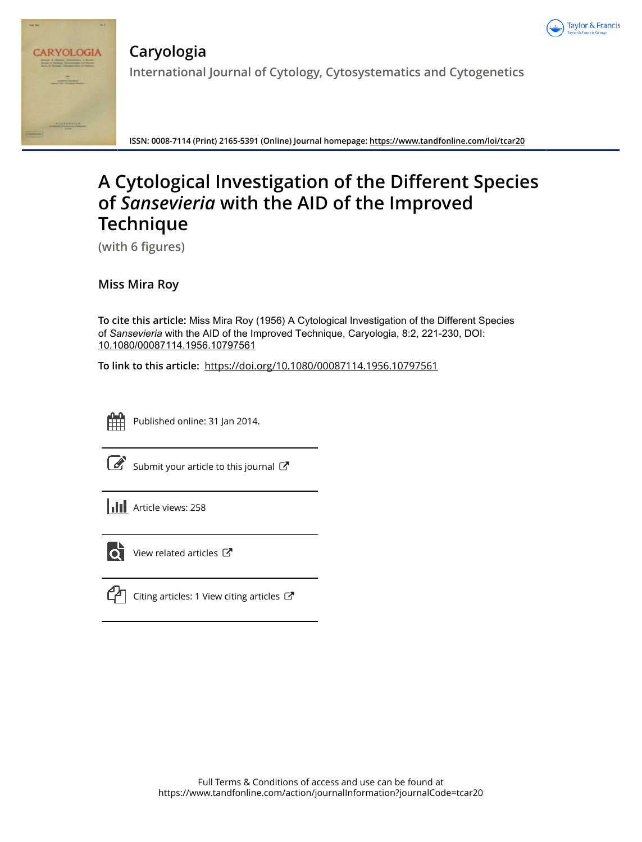



**Caryologia International Journal of Cytology, Cytosystematics and Cytogenetics**

**ISSN: 0008-7114 (Print) 2165-5391 (Online) Journal homepage: https://www.tandfonline.com/loi/tcar20**

# **A Cytological Investigation of the Different Species of** *Sansevieria* **with the AID of the Improved Technique**

**(with 6 figures)**

**Miss Mira Roy**

**To cite this article:** Miss Mira Roy (1956) A Cytological Investigation of the Different Species of *Sansevieria* with the AID of the Improved Technique, Caryologia, 8:2, 221-230, DOI: 10.1080/00087114.1956.10797561

**To link to this article:** https://doi.org/10.1080/00087114.1956.10797561



Published online: 31 Jan 2014.

|--|

Submit your article to this journal  $\mathbb{Z}$ 





 $\bullet$  View related articles  $\mathbb{Z}$ 



 $\Box$  Citing articles: 1 View citing articles  $\Box$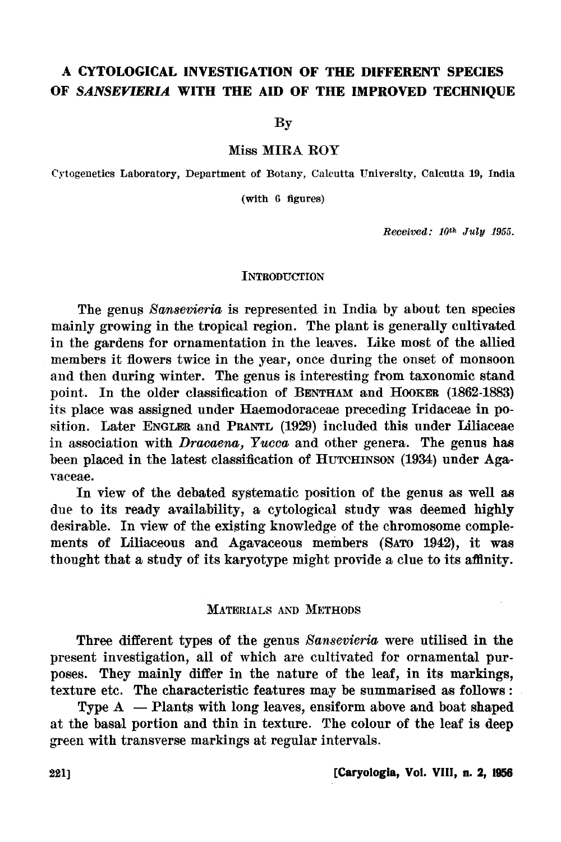## **A CYTOLOGICAL INVESTIGATION OF THE DIFFERENT SPECIES**  OF SANSEVIERIA WITH THE AID OF THE IMPROVED TECHNIQUE

By

Miss MIRA ROY

Crtogenetics Laboratory, Department of Botany, Calcutta University, Calcutta 19, India

(with 6 figures)

*Received: 10th July 1955.* 

## **INTRODUCTION**

The genus Sansevieria is represented in India by about ten species mainly growing in the tropical region. The plant is generally cultivated in the gardens for ornamentation in the leaves. Like most of the allied members it flowers twice in the year, once during the onset of monsoon and then during winter. The genus is interesting from taxonomic stand point. In the older classification of BENTHAM and HooKER (1862-1883) its place was assigned under Haemodoraceae preceding Iridaceae in position. Later ENGLER and PRANTL (1929) included this under Liliaceae in association with *Dracaena*, *Yucca* and other genera. The genus has been placed in the latest classification of HuTCHINSON (1934) under Aga-Yaeeae.

In view of the debated systematic position of the genus as well as due to its ready availability, a cytological study was deemed highly desirable. In view of the existing knowledge of the chromosome complements of Liliaceous and Agavaceous members (SATO 1942), it was thought that a study of its karyotype might provide a clue to its affinity.

## MATERIALS AND METHODS

Three different types of the genus *Sansevieria* were utilised in the present investigation, all of which are cultivated for ornamental purposes. They mainly differ in the nature of the leaf, in its markings, texture etc. The characteristic features may be summarised as follows :

Type  $A -$  Plants with long leaves, ensiform above and boat shaped at the basal portion and thin in texture. The colour of the leaf is deep green with transverse markings at regular intervals.

## 221] **[Caryologla, Vol. VIII, n. 2, 1956**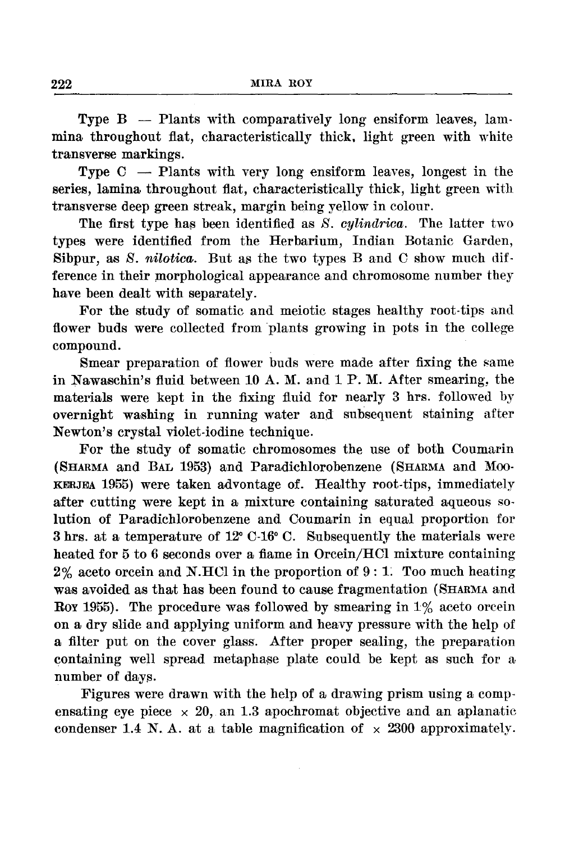Type  $B -$  Plants with comparatively long ensiform leaves, lammina throughout flat, characteristically thick, light green with white transverse markings.

Type  $C -$  Plants with very long ensiform leaves, longest in the series, lamina throughout flat, characteristically thick, light green with transverse deep green streak, margin being yellow in colour.

The first type has been identified as *S. cylindrica*. The latter two types were identified from the Herbarium, Indian Botanic Garden, Sibpur, as *S. nilotica.* But as the two types B and C show much difference in their morphological appearance and chromosome number they have been dealt with separately.

For the study of somatic and meiotic stages healthy root-tips and flower buds were collected from plants growing in pots in the college compound.

Smear preparation of flower buds were made after fixing the same in Nawaschin's fluid between 10 A.M. and 1 P.M. After smearing, the materials were kept in the fixing fluid for nearly 3 hrs. followed by overnight washing in running water and subsequent staining after Newton's crystal violet-iodine technique.

For the study of somatic chromosomes the use of both Coumarin (SHARMA and BAL 1953) and Paradichlorobenzene (SHARMA and Moo-KERJEA 1955) were taken advontage of. Healthy root-tips, immediately after cutting were kept in a mixture containing saturated aqueous solution of Paradichlorobenzene and Coumarin in equal proportion for 3 hrs. at a temperature of 12" C-16° C. Subsequently the materials were heated for 5 to 6 seconds over a fiame in Orcein/HCl mixture containing  $2\%$  aceto orcein and N.HCl in the proportion of 9:1. Too much heating was avoided as that has been found to cause fragmentation (SHARMA and Roy 1955). The procedure was followed by smearing in  $1\%$  aceto orcein on a dry slide and applying uniform and heavy pressure with the help of a filter put on the cover glass. After proper sealing, the preparation containing well spread metaphase plate could be kept as such for a number of days.

Figures were drawn with the help of a drawing prism using a compensating eye piece  $\times$  20, an 1.3 apochromat objective and an aplanatic condenser 1.4 N. A. at a table magnification of  $\times$  2300 approximately.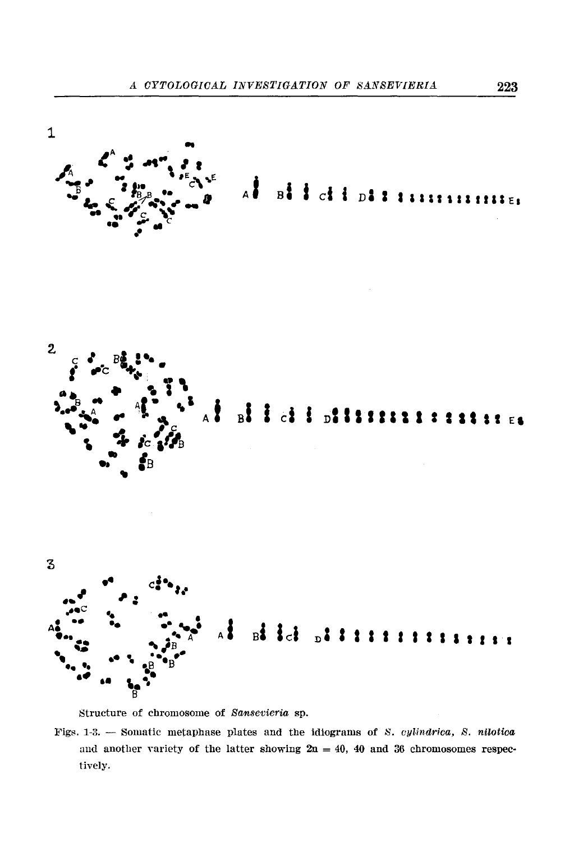

Structure of chromosome of Sansevieria sp.

Figs. 1-3. - Somatic metaphase plates and the idiograms of S. cylindrica, S. nilotica and another variety of the latter showing  $2n = 40$ , 40 and 36 chromosomes respectively.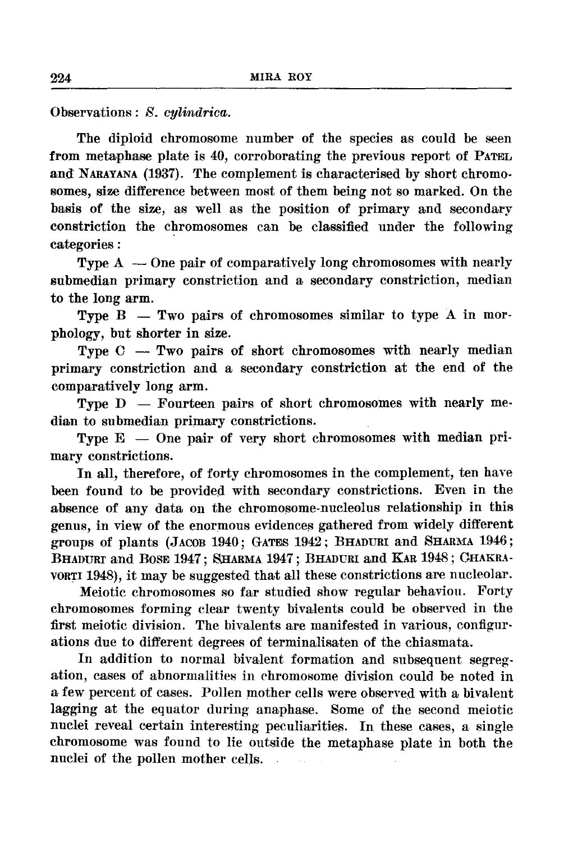Observations: *S. cylindrica.* 

The diploid chromosome number of the species as could be seen from metaphase plate is 40, corroborating the previous report of PATEL and NARAYANA (1937). 'fhe complement is characterised by short chromosomes, size difference between most of them being not so marked. On the basis of the size, as well as the position of primary and secondary constriction the chromosomes can be classified under the following categories :

Type  $A -$ One pair of comparatively long chromosomes with nearly submedian primary constriction and a secondary constriction, median to the long arm.

Type  $B - Two pairs of chromosomes similar to type A in more$ phology, but shorter in size.

Type  $C - Two pairs of short chromosomes with nearly median$ primary constriction and a secondary constriction at the end of the comparatively long arm.

Type  $D -$  Fourteen pairs of short chromosomes with nearly median to submedian primary constrictions.

Type  $E -$  One pair of very short chromosomes with median primary constrictions.

In all, therefore, of forty chromosomes in the complement, ten have been found to be provided with secondary constrictions. Even in the absence of any data on the chromosome-nucleolus relationship in this genus, in view of the enormous evidences gathered from widely different groups of plants (JACOB 1940; GATES 1942; BHADURI and SHARMA 1946; BHADURr and BOSE 1947; SHARMA 1947; BHADURI and KAR 1948; GHAKRA-VORTI 1948), it may be suggested that all these constrictions are nucleolar.

Meiotic chromosomes so far studied show regular behavion. Forty chromosomes forming clear twenty bivalents could be observed in the first meiotic division. The bivalents are manifested in various, configur· ations due to different degrees of terminalisaten of the chiasmata.

In addition to normal bivalent formation and subsequent segregation, cases of abnormalities in rhromosome division could be noted in a few percent of cases. Pollen mother cells were observed with a bivalent lagging at the equator during anaphase. Some of the second meiotic nuclei reveal certain interesting peculiarities. In these cases, a single chromosome was found to lie outside the metaphase plate in both the nuclei of the pollen mother cells.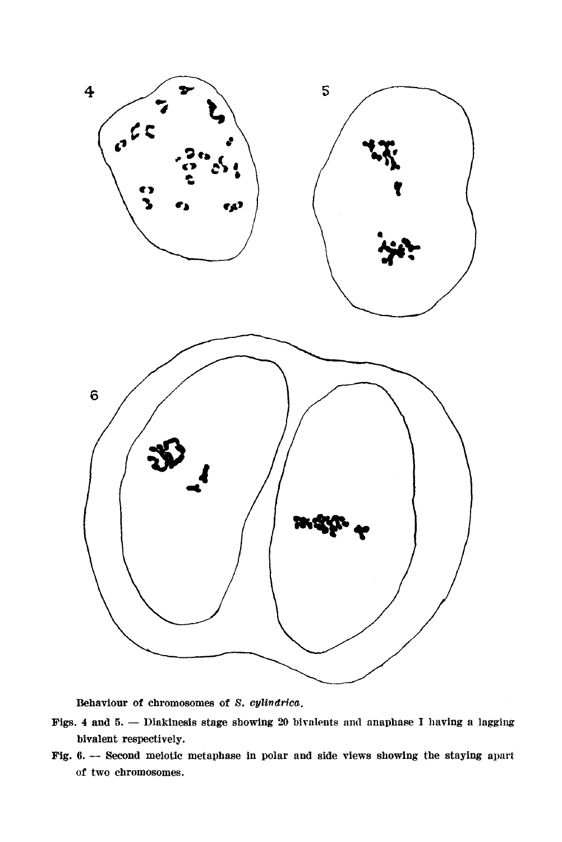

Behaviour of chromosomes of S. cylindrica.

- Figs. 4 and 5. Diakinesis stage showing 20 bivalents and anaphase I having a lagging bivalent respectively.
- Fig. 6. --- Second meiotic metaphase in polar and side views showing the staying apart of two chromosomes.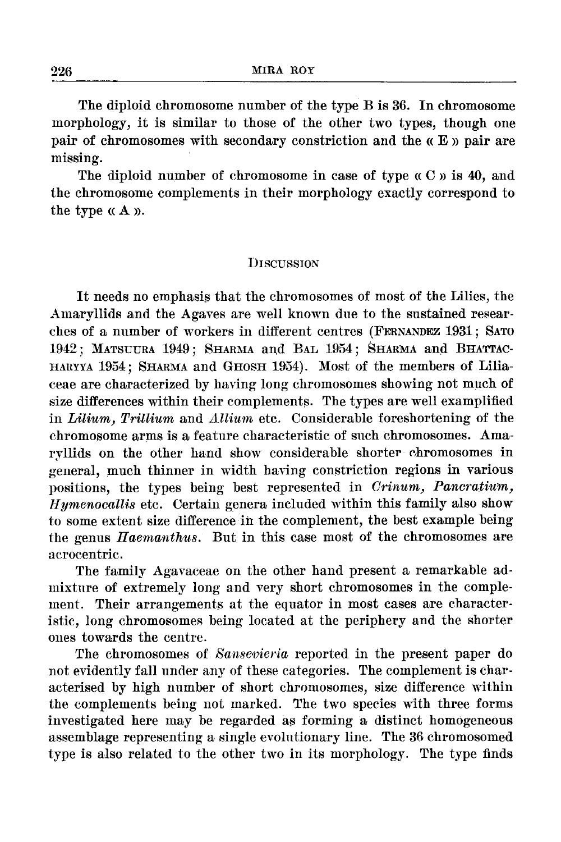The diploid chromosome number of the type B is 36. In chromosome morphology, it is similar to those of the other two types, though one pair of chromosomes with secondary constriction and the « E » pair are missing.

The diploid number of chromosome in case of type  $\alpha C$   $\beta$  is 40, and the chromosome complements in their morphology exactly correspond to the type  $\alpha A$   $\alpha$ .

## **DISCUSSION**

It needs no emphasis that the chromosomes of most of the Lilies, the Amaryllids and the Agaves are well known due to the sustained researches of a number of workers in different centres (FERNANDEZ 1931; SATO 1942; MATSUURA 1949; SHARMA and BAL 1954; SHARMA and BHATTAC-HARYYA 1954; SHARMA and GHOSH 1954). Most of the members of Liliaceae are characterized by having long chromosomes showing not much of size differences within their complements. The types are well examplified in *Lilium*, Trillium and *Allium* etc. Considerable foreshortening of the chromosome arms is a feature characteristic of such chromosomes. Amaryllids on the other hand show considerable shorter chromosomes in general, much thinner in width having constriction regions in various positions, the types being best represented in *Orinum} Pancratium} llymenocallis* etc. Certain genera included within this family also show to some extent size difference in the complement, the best example being the genus *Haemanthus.* But in this case most of the chromosomes are acrocentric.

The family Agavaceae on the other hand present a remarkable admixture of extremely long and very short chromosomes in the complement. Their arrangements at the equator in most cases are characteristic, long chromosomes being located at the periphery and the shorter ones towards the centre.

The chromosomes of *Sansevieria* reported in the present paper do not evidently fall under any of these categories. The complement is charaeterised by high number of short chromosomes, size difference within the complements being not marked. 'l'he two species with three forms investigated here may be regarded as forming a distinct homogeneous assemblage representing a single evolutionary line. The 36 chromosomed type is also related to the other two in its morphology. The type finds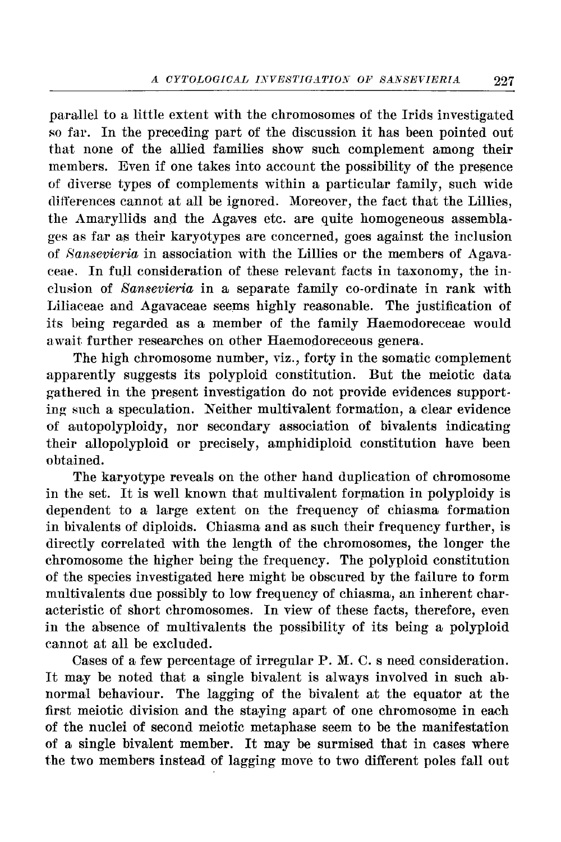parallel to a little extent with the chromosomes of the Irids investigated so far. In the preceding part of the discussion it has been pointed out that none of the allied families show such complement among their members. Even if one takes into account the possibility of the of diverse types of complements within a particular family, such wide differences cannot at all be ignored. Moreover, the fact that the Lillies, the Amaryllids and the Agaves etc. are quite homogeneous assemblages as far their karyotypes are concerned, goes against the inclusion of *8ansevieria* in association with the Lillies or the members of Agavaceae. In full consideration of these relevant facts in taxonomy, the inclusion of *Sansevieria* in a separate family co-ordinate in rank with Liliaceae and Agavaceae seems highly reasonable. The justification of its being regarded as a member of the family Haemodoreceae would await further researches on other Haemodoreceous genera.

The high chromosome number, viz., forty in the somatic complement apparently suggests its polyploid constitution. But the meiotic data gathered in the present investigation do not provide evidences supporting such a speculation. Neither multivalent formation, a clear evidence of autopolyploidy, nor secondary association of bivalents indicating their allopolyploid or precisely, amphidiploid constitution have been obtained.

The karyotype reveals on the other hand duplication of chromosome in the set. It is well known that multivalent formation in polyploidy is dependent to a large extent on the frequency of chiasma formation in bivalents of diploids. Chiasma and as such their frequency further, is directly correlated with the length of the chromosomes, the longer the chromosome the higher being the frequency. The polyploid constitution of the species investigated here might be obscured by the failure to form multivalents due possibly to low frequency of chiasma, an inherent characteristic of short chromosomes. In view of these facts, therefore, even in the absence of multivalents the possibility of its being a polyploid cannot at all be excluded.

Cases of a few percentage of irregular P. M. C. s need consideration. It may be noted that a single bivalent is always involved in such abnormal behaviour. The lagging of the bivalent at the equator at the first meiotic division and the staying apart of one chromosome in each of the nuclei of second meiotic metaphase seem to be the manifestation of a single bivalent member. It may be surmised that in cases where the two members instead of lagging move to two different poles fall out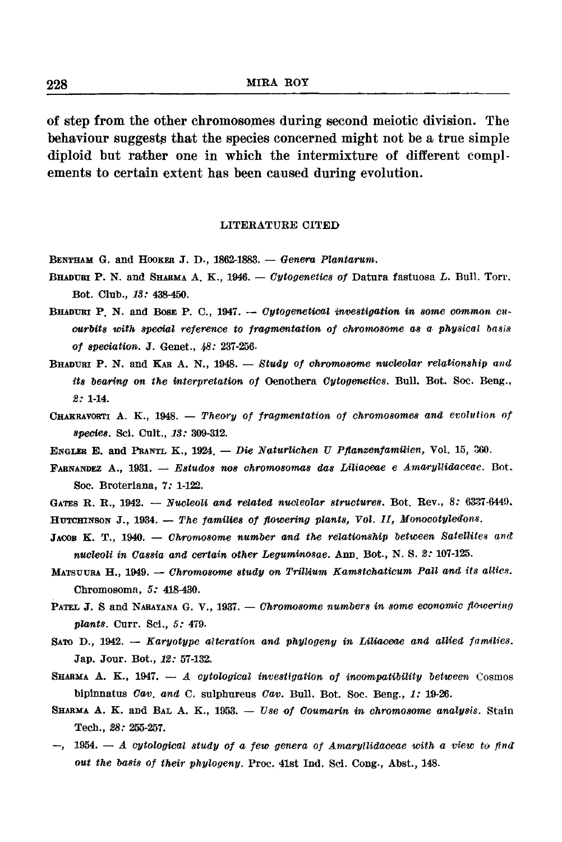of step from the other chromosomes during second meiotic division. The behaviour suggests that the species concerned might not be a true simple diploid but rather one in which the intermixture of different complements to certain extent has been caused during evolution.

#### LITERATURE CITED

- BENTHAM G. and HOOKER J. D., 1862-1883. *Genera Plantarum.*
- BHADUBI P. N. and SHARMA A. K., 1946. *Cytogenetics of* Datura fastuosa *L.* Bull. Torr. Bot. Club., *13:* 438-450.
- BHADURI P. N. and Bose P. C., 1947. *Cytogenetical investigation in some common cucurbits witn special reference to fragmentation of cnromosome as a pnys·ical of speciation•.* J. Genet., *48:* 237-256.
- BHADUBI P. N. and KAR A. N., 1948. *Study of chromosome nucleolar relationship and its bearing on the interpretation of Oenothera Cytogenetics. Bull. Bot. Soc. Beng., 2:* 1-14.
- CHAKRAVORTI A. K., 1948. *Theory of fragmentation of chromosomes and evolution of species.* Sci. Cult., *13:* 309-312.
- ENGLER E. and PBANTL K., 1924. *-Die Naturlichen U Pftanzenfamuien,* Vol. 15, 360.
- FABNANDEZ A., 1931. *Estudos nos chromosomas das Liliaoeae e AmaryUidaceae.* Bot. Soc. Broteriana, 7: 1-122.
- GATES R. R., 1942. *Nucleoli and related nucleolar structures*. Bot. Rev., 8: 6337-6449.
- HUTCHINSON J., 1934. The families of flowering plants, Vol. II, Monocotyledons.
- JACOB K. T., 1940. *Chromosome number and the relationship between Satellites and nucleoli in Cassia and certain other Leguminosae.* Ann. Bot., N. S. *2:* 107-125.
- MATSUURA H., 1949. *Chromosome study on Trillium Kamstchaticum Pall and its allies.* Chromosoma, *5:* 418-430.
- PATEL J. S and NARAYANA G. V., 1937. *Chromosome numbers in some economic flowering plants.* Curr. Sci., *5:* 479.
- SATO D., 1942. *Karyotype alteration and phylogeny in Liliaceae and allied families.* Jap. Jour. Bot., *12:* 57-132.
- SHARMA A. K., 1947. *A cytological investigation of incompatibility between* Cosmos bipinnatus *Cav. and* C. sulphureus *Cav.* Bull. Bot. Soc. Beng., *1:* 19-26.
- SHARMA A. K. and BAL A. K., 1953. *Use of Coumarin in chromosome analysis*. Stain Tech., *28:* 255-257.
- $-$ , 1954.  $-$  *A cytological study of a few genera of Amaryllidaceae with a view to find out the basis of their phylogeny.* Proc. 41st Ind. Sci. Cong., Abst., 148.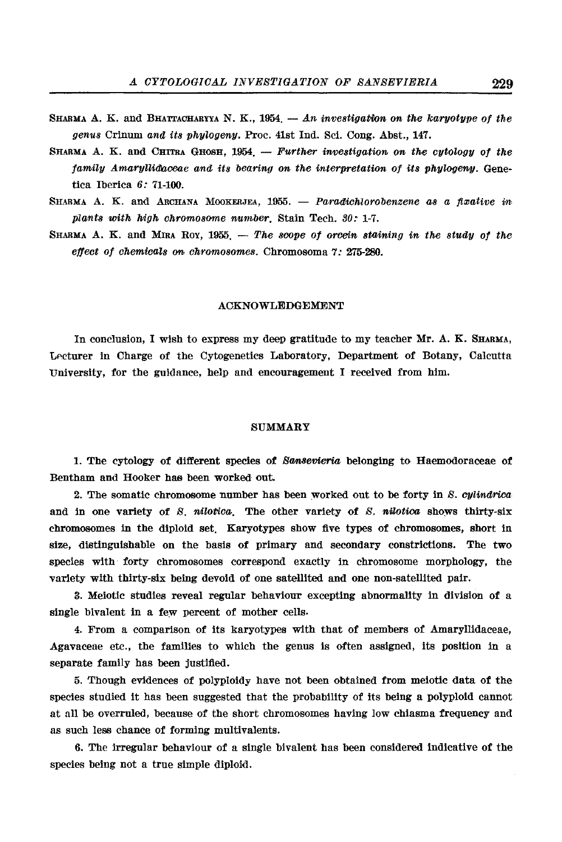- SHARMA A. K. and BHATTACHARYYA N. K., 1954. An investigation on the karyotype of the *genus* Crinum *and its phylogeny.* Proc. 41st Ind. Sci. Cong. Abst., 147.
- SHARMA A. K. and CHITRA GHOSH, 1954. *Further investigation on the cytology of the family Amaryllidaceae and its bearing on the interpretation of its phylogeny.* Genetica Iberica *6:* 71-100.
- SHARMA A. K. and ARCHANA MOOKERJEA, 1955. *Paradichlorobenzene as a fixative in plants with high chromosome number.* Stain Tech. 30: 1-7.
- SHARMA A. K. and MIRA Roy, 1955. *The scope of orcein staining in the study of the effect of chemicals on chromosomes.* Chromosoma *7:* 275-280.

#### ACKNOWLEDGEMENT

In conclusion, I wish to express my deep gratitude to my teacher Mr. A. K. SHARMA, Lecturer in Charge of the Cytogenetics Laboratory, Department of Botany, Calcutta University, for the guidance, help and encouragement I received from him.

#### SUMMARY

1. The cytology of different species of *Sansevieria* belonging to Haemodoraceae of Bentham and Hooker has been worked out.

2. The somatic chromosome number has been worked out to be forty in *S. cylindrica* and in one variety of *S. nilotica.* The other variety of *S. nilotica* shows thirty-six chromosomes in the diploid set. Karyotypes show five types of chromosomes, short in size, distinguishable on the basis of primary and secondary constrictions. The two species with forty chromosomes correspond exactly in chromosome morphology, the variety with thirty-six being devoid of one satellited and one non-satellited pair.

3. Meiotic studies reveal regular behaviour excepting abnormality in division of a single bivalent in a few percent of mother cells.

4. From a comparison of its karyotypes with that of members of Amaryllldaceae, Agavaceae etc., the families to which the genus is often assigned, its position in a separate family has been justified.

5. Though evidences of polyploidy have not been obtained from meiotic data of the species studied it has been suggested that the probability of its being a polyploid cannot at all be overruled, because of the short chromosomes having low chiasma frequency and as such less chance of forming multivalents.

6. The irregular behaviour of a single bivalent has been considered indicative of the species being not a true simple diploid.